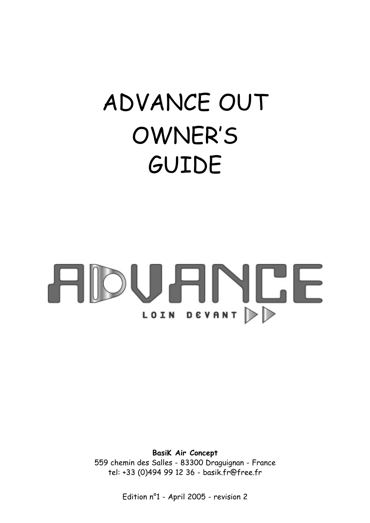## ADVANCE OUT OWNER'S GUIDE

# **ADUANCE** LOIN DEVANT D

**BasiK Air Concept** 559 chemin des Salles - 83300 Draguignan - France tel: +33 (0)494 99 12 36 - basik.fr@free.fr

Edition n°1 - April 2005 - revision 2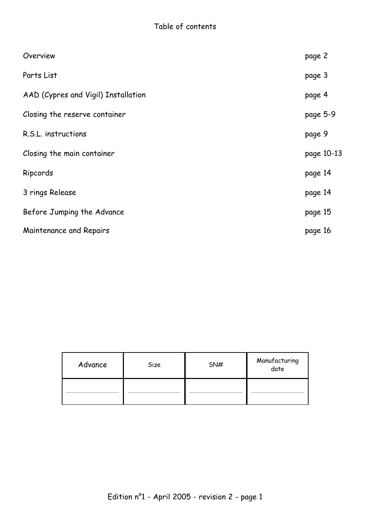| Overview                            | page 2     |
|-------------------------------------|------------|
| Parts List                          | page 3     |
| AAD (Cypres and Vigil) Installation | page 4     |
| Closing the reserve container       | page 5-9   |
| R.S.L. instructions                 | page 9     |
| Closing the main container          | page 10-13 |
| Ripcords                            | page 14    |
| 3 rings Release                     | page 14    |
| Before Jumping the Advance          | page 15    |
| Maintenance and Repairs             | page 16    |

| Advance | Size | SN# | Manufacturing<br>date |
|---------|------|-----|-----------------------|
|         |      |     |                       |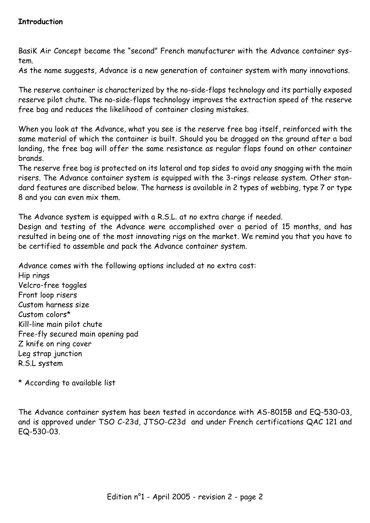BasiK Air Concept became the "second" French manufacturer with the Advance container system.

As the name suggests, Advance is a new generation of container system with many innovations.

The reserve container is characterized by the no-side-flaps technology and its partially exposed reserve pilot chute. The no-side-flaps technology improves the extraction speed of the reserve free bag and reduces the likelihood of container closing mistakes.

When you look at the Advance, what you see is the reserve free bag itself, reinforced with the same material of which the container is built. Should you be dragged on the ground after a bad landing, the free bag will offer the same resistance as regular flaps found on other container brands.

The reserve free bag is protected on its lateral and top sides to avoid any snagging with the main risers. The Advance container system is equipped with the 3-rings release system. Other standard features are discribed below. The harness is available in 2 types of webbing, type 7 or type 8 and you can even mix them.

The Advance system is equipped with a R.S.L. at no extra charge if needed.

Design and testing of the Advance were accomplished over a period of 15 months, and has resulted in being one of the most innovating rigs on the market. We remind you that you have to be certified to assemble and pack the Advance container system.

Advance comes with the following options included at no extra cost:

Hip rings Velcro-free toggles Front loop risers Custom harness size Custom colors\* Kill-line main pilot chute Free-fly secured main opening pad Z knife on ring cover Leg strap junction R.S.L system

\* According to available list

The Advance container system has been tested in accordance with AS-8015B and EQ-530-03, and is approved under TSO C-23d, JTSO-C23d and under French certifications QAC 121 and EQ-530-03.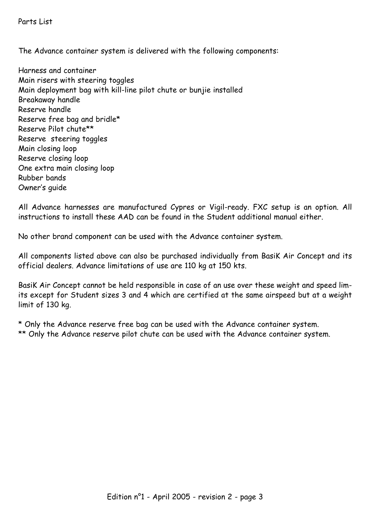Parts List

The Advance container system is delivered with the following components:

Harness and container Main risers with steering toggles Main deployment bag with kill-line pilot chute or bunjie installed Breakaway handle Reserve handle Reserve free bag and bridle\* Reserve Pilot chute\*\* Reserve steering toggles Main closing loop Reserve closing loop One extra main closing loop Rubber bands Owner's guide

All Advance harnesses are manufactured Cypres or Vigil-ready. FXC setup is an option. All instructions to install these AAD can be found in the Student additional manual either.

No other brand component can be used with the Advance container system.

All components listed above can also be purchased individually from BasiK Air Concept and its official dealers. Advance limitations of use are 110 kg at 150 kts.

BasiK Air Concept cannot be held responsible in case of an use over these weight and speed limits except for Student sizes 3 and 4 which are certified at the same airspeed but at a weight limit of 130 kg.

\* Only the Advance reserve free bag can be used with the Advance container system. \*\* Only the Advance reserve pilot chute can be used with the Advance container system.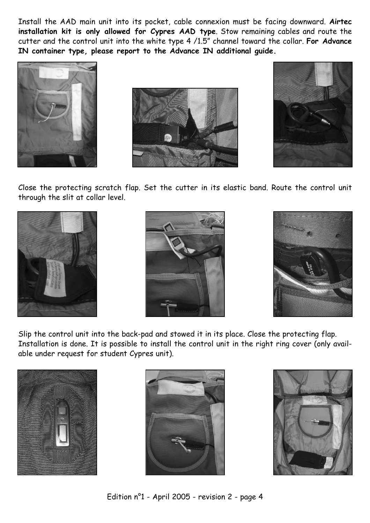Install the AAD main unit into its pocket, cable connexion must be facing downward. **Airtec installation kit is only allowed for Cypres AAD type**. Stow remaining cables and route the cutter and the control unit into the white type 4 /1.5" channel toward the collar. **For Advance IN container type, please report to the Advance IN additional guide.**







Close the protecting scratch flap. Set the cutter in its elastic band. Route the control unit through the slit at collar level.







Slip the control unit into the back-pad and stowed it in its place. Close the protecting flap. Installation is done. It is possible to install the control unit in the right ring cover (only available under request for student Cypres unit).





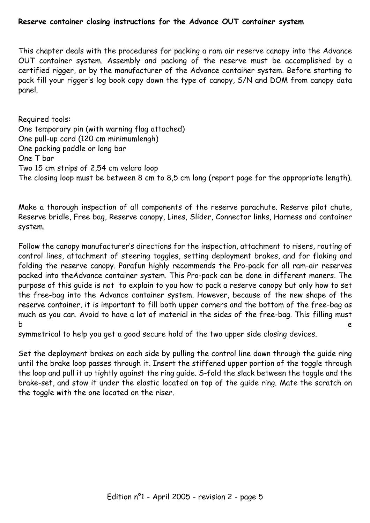## **Reserve container closing instructions for the Advance OUT container system**

This chapter deals with the procedures for packing a ram air reserve canopy into the Advance OUT container system. Assembly and packing of the reserve must be accomplished by a certified rigger, or by the manufacturer of the Advance container system. Before starting to pack fill your rigger's log book copy down the type of canopy, S/N and DOM from canopy data panel.

Required tools: One temporary pin (with warning flag attached) One pull-up cord (120 cm minimumlengh) One packing paddle or long bar One T bar Two 15 cm strips of 2,54 cm velcro loop The closing loop must be between 8 cm to 8,5 cm long (report page for the appropriate length).

Make a thorough inspection of all components of the reserve parachute. Reserve pilot chute, Reserve bridle, Free bag, Reserve canopy, Lines, Slider, Connector links, Harness and container system.

Follow the canopy manufacturer's directions for the inspection, attachment to risers, routing of control lines, attachment of steering toggles, setting deployment brakes, and for flaking and folding the reserve canopy. Parafun highly recommends the Pro-pack for all ram-air reserves packed into theAdvance container system. This Pro-pack can be done in different maners. The purpose of this guide is not to explain to you how to pack a reserve canopy but only how to set the free-bag into the Advance container system. However, because of the new shape of the reserve container, it is important to fill both upper corners and the bottom of the free-bag as much as you can. Avoid to have a lot of material in the sides of the free-bag. This filling must b e

symmetrical to help you get a good secure hold of the two upper side closing devices.

Set the deployment brakes on each side by pulling the control line down through the guide ring until the brake loop passes through it. Insert the stiffened upper portion of the toggle through the loop and pull it up tightly against the ring guide. S-fold the slack between the toggle and the brake-set, and stow it under the elastic located on top of the guide ring. Mate the scratch on the toggle with the one located on the riser.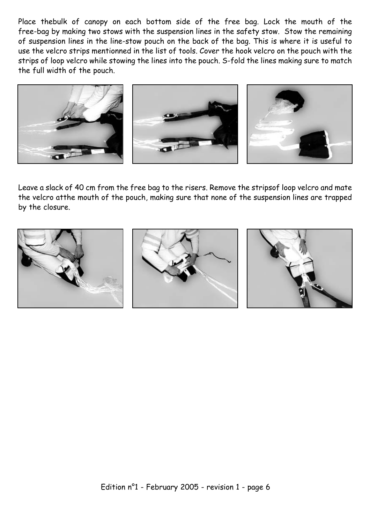Place thebulk of canopy on each bottom side of the free bag. Lock the mouth of the free-bag by making two stows with the suspension lines in the safety stow. Stow the remaining of suspension lines in the line-stow pouch on the back of the bag. This is where it is useful to use the velcro strips mentionned in the list of tools. Cover the hook velcro on the pouch with the strips of loop velcro while stowing the lines into the pouch. S-fold the lines making sure to match the full width of the pouch.



Leave a slack of 40 cm from the free bag to the risers. Remove the stripsof loop velcro and mate the velcro atthe mouth of the pouch, making sure that none of the suspension lines are trapped by the closure.

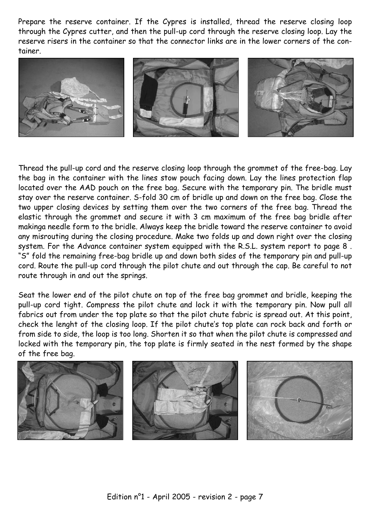Prepare the reserve container. If the Cypres is installed, thread the reserve closing loop through the Cypres cutter, and then the pull-up cord through the reserve closing loop. Lay the reserve risers in the container so that the connector links are in the lower corners of the container.



Thread the pull-up cord and the reserve closing loop through the grommet of the free-bag. Lay the bag in the container with the lines stow pouch facing down. Lay the lines protection flap located over the AAD pouch on the free bag. Secure with the temporary pin. The bridle must stay over the reserve container. S-fold 30 cm of bridle up and down on the free bag. Close the two upper closing devices by setting them over the two corners of the free bag. Thread the elastic through the grommet and secure it with 3 cm maximum of the free bag bridle after makinga needle form to the bridle. Always keep the bridle toward the reserve container to avoid any misrouting during the closing procedure. Make two folds up and down right over the closing system. For the Advance container system equipped with the R.S.L. system report to page 8 . "S" fold the remaining free-bag bridle up and down both sides of the temporary pin and pull-up cord. Route the pull-up cord through the pilot chute and out through the cap. Be careful to not route through in and out the springs.

Seat the lower end of the pilot chute on top of the free bag grommet and bridle, keeping the pull-up cord tight. Compress the pilot chute and lock it with the temporary pin. Now pull all fabrics out from under the top plate so that the pilot chute fabric is spread out. At this point, check the lenght of the closing loop. If the pilot chute's top plate can rock back and forth or from side to side, the loop is too long. Shorten it so that when the pilot chute is compressed and locked with the temporary pin, the top plate is firmly seated in the nest formed by the shape of the free bag.

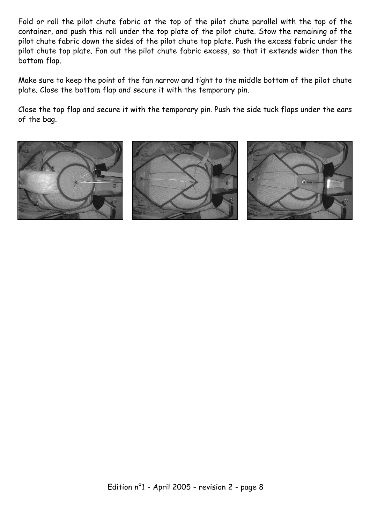Fold or roll the pilot chute fabric at the top of the pilot chute parallel with the top of the container, and push this roll under the top plate of the pilot chute. Stow the remaining of the pilot chute fabric down the sides of the pilot chute top plate. Push the excess fabric under the pilot chute top plate. Fan out the pilot chute fabric excess, so that it extends wider than the bottom flap.

Make sure to keep the point of the fan narrow and tight to the middle bottom of the pilot chute plate. Close the bottom flap and secure it with the temporary pin.

Close the top flap and secure it with the temporary pin. Push the side tuck flaps under the ears of the bag.

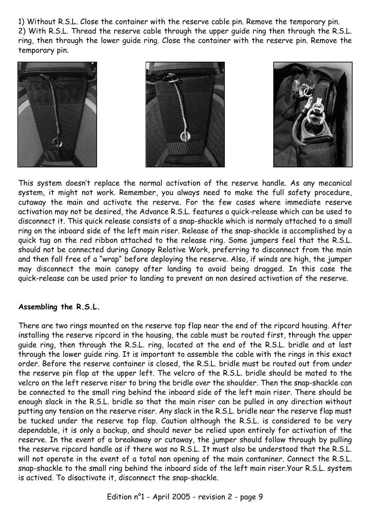1) Without R.S.L. Close the container with the reserve cable pin. Remove the temporary pin. 2) With R.S.L. Thread the reserve cable through the upper guide ring then through the R.S.L. ring, then through the lower guide ring. Close the container with the reserve pin. Remove the temporary pin.







This system doesn't replace the normal activation of the reserve handle. As any mecanical system, it might not work. Remember, you always need to make the full safety procedure, cutaway the main and activate the reserve. For the few cases where immediate reserve activation may not be desired, the Advance R.S.L. features a quick-release which can be used to disconnect it. This quick release consists of a snap-shackle which is normaly attached to a small ring on the inboard side of the left main riser. Release of the snap-shackle is accomplished by a quick tug on the red ribbon attached to the release ring. Some jumpers feel that the R.S.L. should not be connected during Canopy Relative Work, preferring to disconnect from the main and then fall free of a "wrap" before deploying the reserve. Also, if winds are high, the jumper may disconnect the main canopy after landing to avoid being dragged. In this case the quick-release can be used prior to landing to prevent an non desired activation of the reserve.

## **Assembling the R.S.L.**

There are two rings mounted on the reserve top flap near the end of the ripcord housing. After installing the reserve ripcord in the housing, the cable must be routed first, through the upper guide ring, then through the R.S.L. ring, located at the end of the R.S.L. bridle and at last through the lower guide ring. It is important to assemble the cable with the rings in this exact order. Before the reserve container is closed, the R.S.L. bridle must be routed out from under the reserve pin flap at the upper left. The velcro of the R.S.L. bridle should be mated to the velcro on the left reserve riser to bring the bridle over the shoulder. Then the snap-shackle can be connected to the small ring behind the inboard side of the left main riser. There should be enough slack in the R.S.L. bridle so that the main riser can be pulled in any direction without putting any tension on the reserve riser. Any slack in the R.S.L. bridle near the reserve flap must be tucked under the reserve top flap. Caution although the R.S.L. is considered to be very dependable, it is only a backup, and should never be relied upon entirely for activation of the reserve. In the event of a breakaway or cutaway, the jumper should follow through by pulling the reserve ripcord handle as if there was no R.S.L. It must also be understood that the R.S.L. will not operate in the event of a total non opening of the main contaniner. Connect the R.S.L. snap-shackle to the small ring behind the inboard side of the left main riser.Your R.S.L. system is actived. To disactivate it, disconnect the snap-shackle.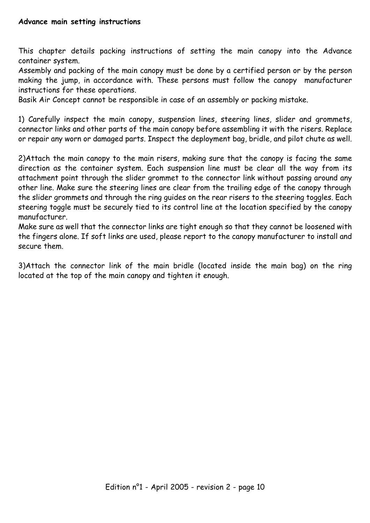This chapter details packing instructions of setting the main canopy into the Advance container system.

Assembly and packing of the main canopy must be done by a certified person or by the person making the jump, in accordance with. These persons must follow the canopy manufacturer instructions for these operations.

Basik Air Concept cannot be responsible in case of an assembly or packing mistake.

1) Carefully inspect the main canopy, suspension lines, steering lines, slider and grommets, connector links and other parts of the main canopy before assembling it with the risers. Replace or repair any worn or damaged parts. Inspect the deployment bag, bridle, and pilot chute as well.

2)Attach the main canopy to the main risers, making sure that the canopy is facing the same direction as the container system. Each suspension line must be clear all the way from its attachment point through the slider grommet to the connector link without passing around any other line. Make sure the steering lines are clear from the trailing edge of the canopy through the slider grommets and through the ring guides on the rear risers to the steering toggles. Each steering toggle must be securely tied to its control line at the location specified by the canopy manufacturer.

Make sure as well that the connector links are tight enough so that they cannot be loosened with the fingers alone. If soft links are used, please report to the canopy manufacturer to install and secure them.

3)Attach the connector link of the main bridle (located inside the main bag) on the ring located at the top of the main canopy and tighten it enough.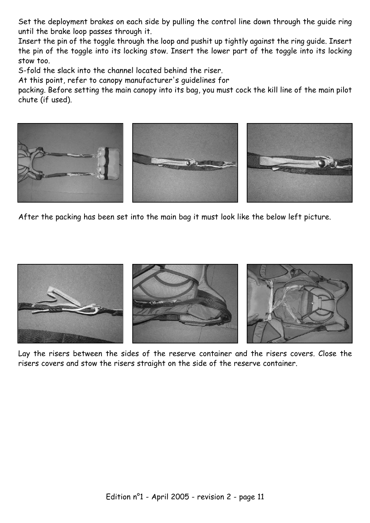Set the deployment brakes on each side by pulling the control line down through the guide ring until the brake loop passes through it.

Insert the pin of the toggle through the loop and pushit up tightly against the ring guide. Insert the pin of the toggle into its locking stow. Insert the lower part of the toggle into its locking stow too.

S-fold the slack into the channel located behind the riser.

At this point, refer to canopy manufacturer's guidelines for

packing. Before setting the main canopy into its bag, you must cock the kill line of the main pilot chute (if used).



After the packing has been set into the main bag it must look like the below left picture.



Lay the risers between the sides of the reserve container and the risers covers. Close the risers covers and stow the risers straight on the side of the reserve container.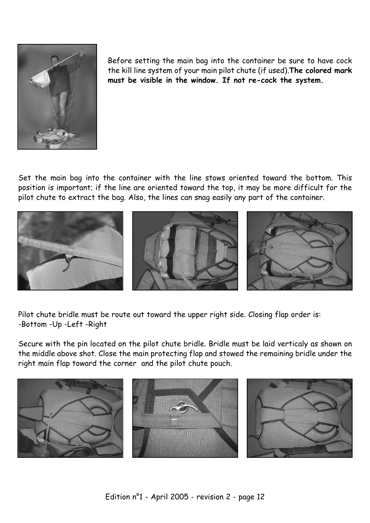

Before setting the main bag into the container be sure to have cock the kill line system of your main pilot chute (if used).**The colored mark must be visible in the window. If not re-cock the system.**

Set the main bag into the container with the line stows oriented toward the bottom. This position is important; if the line are oriented toward the top, it may be more difficult for the pilot chute to extract the bag. Also, the lines can snag easily any part of the container.



Pilot chute bridle must be route out toward the upper right side. Closing flap order is: -Bottom -Up -Left -Right

Secure with the pin located on the pilot chute bridle. Bridle must be laid verticaly as shown on the middle above shot. Close the main protecting flap and stowed the remaining bridle under the right main flap toward the corner and the pilot chute pouch.

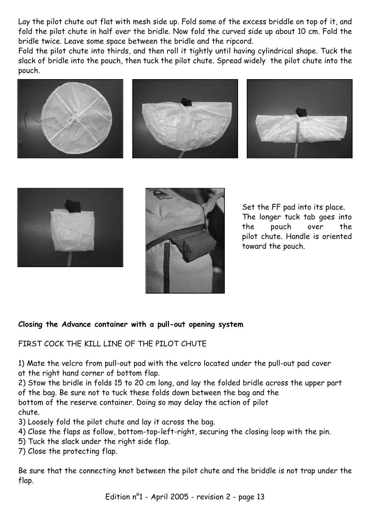Lay the pilot chute out flat with mesh side up. Fold some of the excess briddle on top of it, and fold the pilot chute in half over the bridle. Now fold the curved side up about 10 cm. Fold the bridle twice. Leave some space between the bridle and the ripcord.

Fold the pilot chute into thirds, and then roll it tightly until having cylindrical shape. Tuck the slack of bridle into the pouch, then tuck the pilot chute. Spread widely the pilot chute into the pouch.











Set the FF pad into its place. The longer tuck tab goes into the pouch over the pilot chute. Handle is oriented toward the pouch.

## **Closing the Advance container with a pull-out opening system**

FTRST COCK THE KTLL LINE OF THE PILOT CHUTE

1) Mate the velcro from pull-out pad with the velcro located under the pull-out pad cover at the right hand corner of bottom flap.

2) Stow the bridle in folds 15 to 20 cm long, and lay the folded bridle across the upper part of the bag. Be sure not to tuck these folds down between the bag and the bottom of the reserve container. Doing so may delay the action of pilot chute.

3) Loosely fold the pilot chute and lay it across the bag.

4) Close the flaps as follow, bottom-top-left-right, securing the closing loop with the pin.

5) Tuck the slack under the right side flap.

7) Close the protecting flap.

Be sure that the connecting knot between the pilot chute and the briddle is not trap under the flap.

Edition n°1 - April 2005 - revision 2 - page 13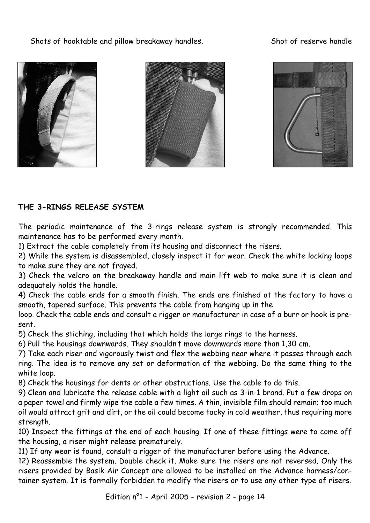Shots of hooktable and pillow breakaway handles. Shot of reserve handle







## **THE 3-RINGS RELEASE SYSTEM**

The periodic maintenance of the 3-rings release system is strongly recommended. This maintenance has to be performed every month.

1) Extract the cable completely from its housing and disconnect the risers.

2) While the system is disassembled, closely inspect it for wear. Check the white locking loops to make sure they are not frayed.

3) Check the velcro on the breakaway handle and main lift web to make sure it is clean and adequately holds the handle.

4) Check the cable ends for a smooth finish. The ends are finished at the factory to have a smooth, tapered surface. This prevents the cable from hanging up in the

loop. Check the cable ends and consult a rigger or manufacturer in case of a burr or hook is present.

5) Check the stiching, including that which holds the large rings to the harness.

6) Pull the housings downwards. They shouldn't move downwards more than 1,30 cm.

7) Take each riser and vigorously twist and flex the webbing near where it passes through each ring. The idea is to remove any set or deformation of the webbing. Do the same thing to the white loop.

8) Check the housings for dents or other obstructions. Use the cable to do this.

9) Clean and lubricate the release cable with a light oil such as 3-in-1 brand. Put a few drops on a paper towel and firmly wipe the cable a few times. A thin, invisible film should remain; too much oil would attract grit and dirt, or the oil could become tacky in cold weather, thus requiring more strength.

10) Inspect the fittings at the end of each housing. If one of these fittings were to come off the housing, a riser might release prematurely.

11) If any wear is found, consult a rigger of the manufacturer before using the Advance.

12) Reassemble the system. Double check it. Make sure the risers are not reversed. Only the risers provided by Basik Air Concept are allowed to be installed on the Advance harness/container system. It is formally forbidden to modify the risers or to use any other type of risers.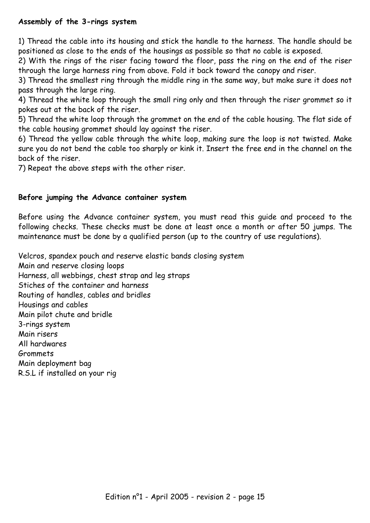## **Assembly of the 3-rings system**

1) Thread the cable into its housing and stick the handle to the harness. The handle should be positioned as close to the ends of the housings as possible so that no cable is exposed.

2) With the rings of the riser facing toward the floor, pass the ring on the end of the riser through the large harness ring from above. Fold it back toward the canopy and riser.

3) Thread the smallest ring through the middle ring in the same way, but make sure it does not pass through the large ring.

4) Thread the white loop through the small ring only and then through the riser grommet so it pokes out at the back of the riser.

5) Thread the white loop through the grommet on the end of the cable housing. The flat side of the cable housing grommet should lay against the riser.

6) Thread the yellow cable through the white loop, making sure the loop is not twisted. Make sure you do not bend the cable too sharply or kink it. Insert the free end in the channel on the back of the riser.

7) Repeat the above steps with the other riser.

## **Before jumping the Advance container system**

Before using the Advance container system, you must read this guide and proceed to the following checks. These checks must be done at least once a month or after 50 jumps. The maintenance must be done by a qualified person (up to the country of use regulations).

Velcros, spandex pouch and reserve elastic bands closing system

Main and reserve closing loops

Harness, all webbings, chest strap and leg straps

Stiches of the container and harness

Routing of handles, cables and bridles

Housings and cables

Main pilot chute and bridle

3-rings system

Main risers

All hardwares

Grommets

Main deployment bag

R.S.L if installed on your rig